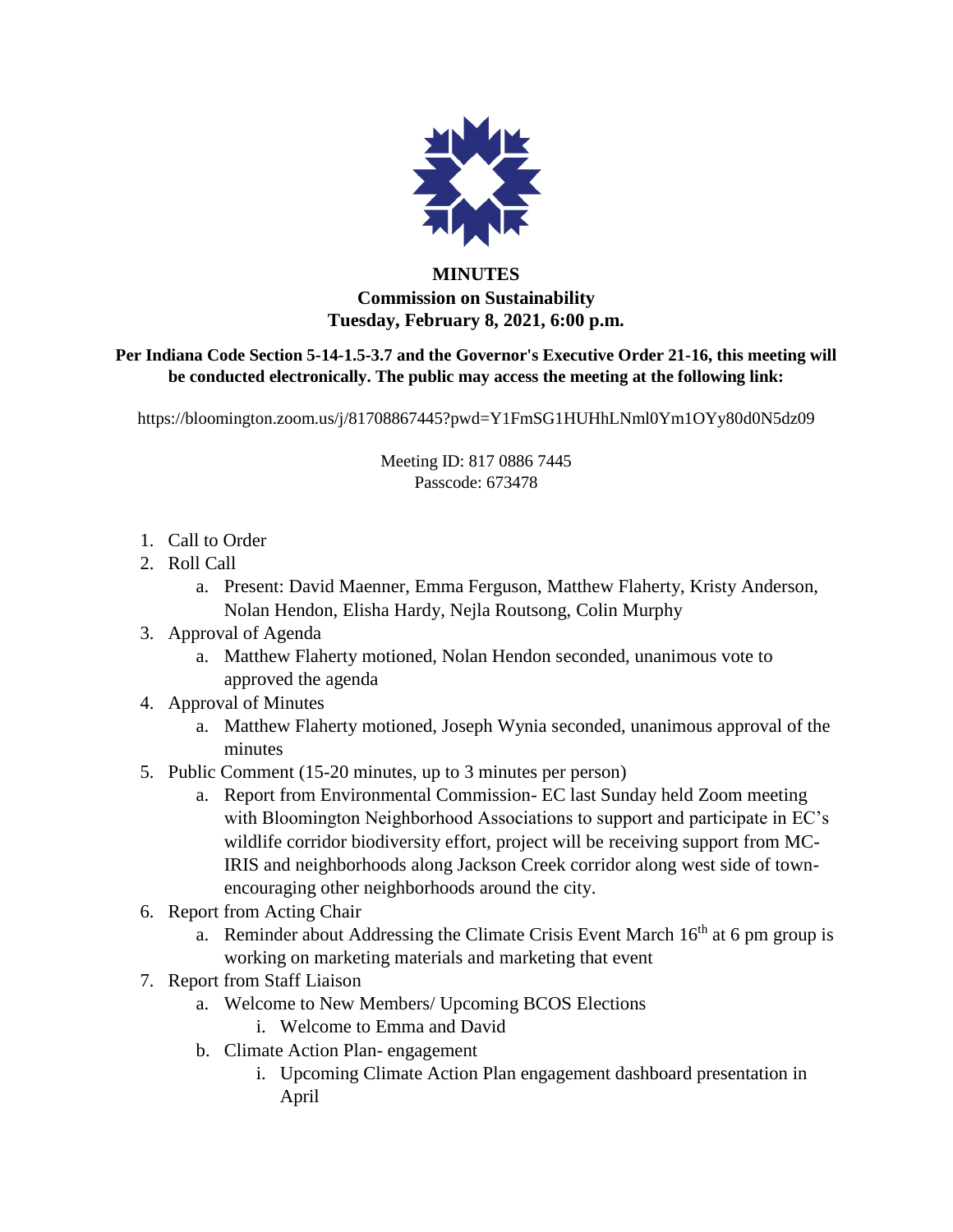

## **MINUTES Commission on Sustainability Tuesday, February 8, 2021, 6:00 p.m.**

**Per Indiana Code Section 5-14-1.5-3.7 and the Governor's Executive Order 21-16, this meeting will be conducted electronically. The public may access the meeting at the following link:** 

https://bloomington.zoom.us/j/81708867445?pwd=Y1FmSG1HUHhLNml0Ym1OYy80d0N5dz09

Meeting ID: 817 0886 7445 Passcode: 673478

- 1. Call to Order
- 2. Roll Call
	- a. Present: David Maenner, Emma Ferguson, Matthew Flaherty, Kristy Anderson, Nolan Hendon, Elisha Hardy, Nejla Routsong, Colin Murphy

## 3. Approval of Agenda

- a. Matthew Flaherty motioned, Nolan Hendon seconded, unanimous vote to approved the agenda
- 4. Approval of Minutes
	- a. Matthew Flaherty motioned, Joseph Wynia seconded, unanimous approval of the minutes
- 5. Public Comment (15-20 minutes, up to 3 minutes per person)
	- a. Report from Environmental Commission- EC last Sunday held Zoom meeting with Bloomington Neighborhood Associations to support and participate in EC's wildlife corridor biodiversity effort, project will be receiving support from MC-IRIS and neighborhoods along Jackson Creek corridor along west side of townencouraging other neighborhoods around the city.
- 6. Report from Acting Chair
	- a. Reminder about Addressing the Climate Crisis Event March  $16<sup>th</sup>$  at 6 pm group is working on marketing materials and marketing that event
- 7. Report from Staff Liaison
	- a. Welcome to New Members/ Upcoming BCOS Elections
		- i. Welcome to Emma and David
	- b. Climate Action Plan- engagement
		- i. Upcoming Climate Action Plan engagement dashboard presentation in April